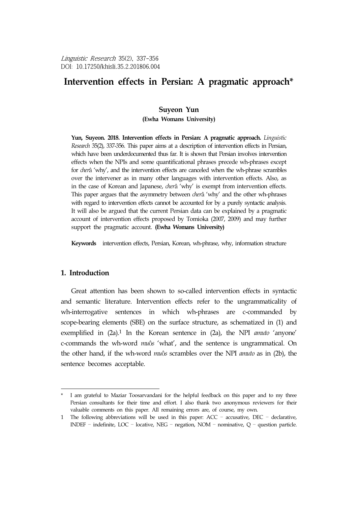# Intervention effects in Persian: A pragmatic approach\*

#### **Suyeon Yun**

**(Ewha Womans University)**

**Yun, Suyeon. 2018. Intervention effects in Persian: A pragmatic approach.** *Linguistic Research* 35(2), 337-356. This paper aims at a description of intervention effects in Persian, which have been underdocumented thus far. It is shown that Persian involves intervention effects when the NPIs and some quantificational phrases precede wh-phrases except for *cher*â 'why', and the intervention effects are canceled when the wh-phrase scrambles over the intervener as in many other languages with intervention effects. Also, as in the case of Korean and Japanese, *cher*â 'why' is exempt from intervention effects. This paper argues that the asymmetry between *cher*â 'why' and the other wh-phrases with regard to intervention effects cannot be accounted for by a purely syntactic analysis. It will also be argued that the current Persian data can be explained by a pragmatic account of intervention effects proposed by Tomioka (2007, 2009) and may further support the pragmatic account. **(Ewha Womans University)**

**Keywords** intervention effects, Persian, Korean, wh-phrase, why, information structure

## **1. Introduction**

Great attention has been shown to so-called intervention effects in syntactic and semantic literature. Intervention effects refer to the ungrammaticality of wh-interrogative sentences in which wh-phrases are c-commanded by scope-bearing elements (SBE) on the surface structure, as schematized in (1) and exemplified in (2a).1 In the Korean sentence in (2a), the NPI *amuto* 'anyone' c-commands the wh-word *mu*ô*s* 'what', and the sentence is ungrammatical. On the other hand, if the wh-word *mu*ô*s* scrambles over the NPI *amuto* as in (2b), the sentence becomes acceptable.

<sup>\*</sup> I am grateful to Maziar Toosarvandani for the helpful feedback on this paper and to my three Persian consultants for their time and effort. I also thank two anonymous reviewers for their valuable comments on this paper. All remaining errors are, of course, my own.

<sup>1</sup> The following abbreviations will be used in this paper: ACC – accusative, DEC – declarative, INDEF – indefinite, LOC – locative, NEG – negation, NOM – nominative, Q – question particle.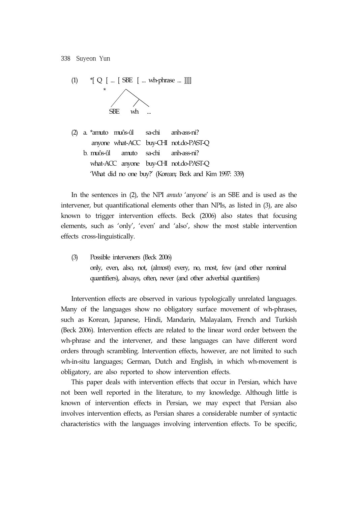

(2) a. \*amuto muôs-ûl sa-chi anh-ass-ni? anyone what-ACC buy-CHI not.do-PAST-Q b. muôs-ûl amuto sa-chi anh-ass-ni? what-ACC anyone buy-CHI not.do-PAST-Q 'What did no one buy?' (Korean; Beck and Kim 1997: 339)

In the sentences in (2), the NPI *amuto* 'anyone' is an SBE and is used as the intervener, but quantificational elements other than NPIs, as listed in (3), are also known to trigger intervention effects. Beck (2006) also states that focusing elements, such as 'only', 'even' and 'also', show the most stable intervention effects cross-linguistically.

(3) Possible interveners (Beck 2006) only, even, also, not, (almost) every, no, most, few (and other nominal quantifiers), always, often, never (and other adverbial quantifiers)

Intervention effects are observed in various typologically unrelated languages. Many of the languages show no obligatory surface movement of wh-phrases, such as Korean, Japanese, Hindi, Mandarin, Malayalam, French and Turkish (Beck 2006). Intervention effects are related to the linear word order between the wh-phrase and the intervener, and these languages can have different word orders through scrambling. Intervention effects, however, are not limited to such wh-in-situ languages; German, Dutch and English, in which wh-movement is obligatory, are also reported to show intervention effects.

This paper deals with intervention effects that occur in Persian, which have not been well reported in the literature, to my knowledge. Although little is known of intervention effects in Persian, we may expect that Persian also involves intervention effects, as Persian shares a considerable number of syntactic characteristics with the languages involving intervention effects. To be specific,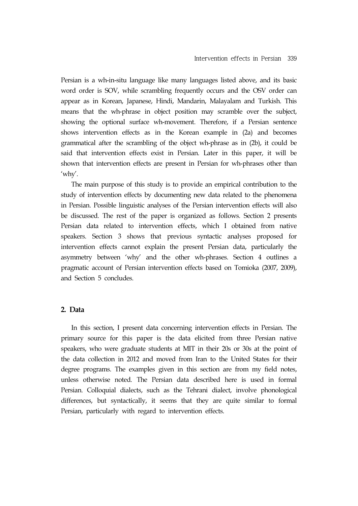Persian is a wh-in-situ language like many languages listed above, and its basic word order is SOV, while scrambling frequently occurs and the OSV order can appear as in Korean, Japanese, Hindi, Mandarin, Malayalam and Turkish. This means that the wh-phrase in object position may scramble over the subject, showing the optional surface wh-movement. Therefore, if a Persian sentence shows intervention effects as in the Korean example in (2a) and becomes grammatical after the scrambling of the object wh-phrase as in (2b), it could be said that intervention effects exist in Persian. Later in this paper, it will be shown that intervention effects are present in Persian for wh-phrases other than 'why'.

The main purpose of this study is to provide an empirical contribution to the study of intervention effects by documenting new data related to the phenomena in Persian. Possible linguistic analyses of the Persian intervention effects will also be discussed. The rest of the paper is organized as follows. Section 2 presents Persian data related to intervention effects, which I obtained from native speakers. Section 3 shows that previous syntactic analyses proposed for intervention effects cannot explain the present Persian data, particularly the asymmetry between 'why' and the other wh-phrases. Section 4 outlines a pragmatic account of Persian intervention effects based on Tomioka (2007, 2009), and Section 5 concludes.

## **2. Data**

In this section, I present data concerning intervention effects in Persian. The primary source for this paper is the data elicited from three Persian native speakers, who were graduate students at MIT in their 20s or 30s at the point of the data collection in 2012 and moved from Iran to the United States for their degree programs. The examples given in this section are from my field notes, unless otherwise noted. The Persian data described here is used in formal Persian. Colloquial dialects, such as the Tehrani dialect, involve phonological differences, but syntactically, it seems that they are quite similar to formal Persian, particularly with regard to intervention effects.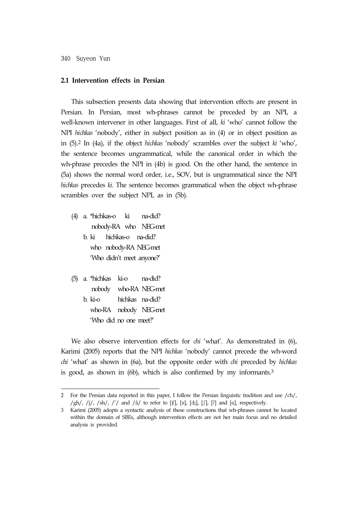#### **2.1 Intervention effects in Persian**

This subsection presents data showing that intervention effects are present in Persian. In Persian, most wh-phrases cannot be preceded by an NPI, a well-known intervener in other languages. First of all, *ki* 'who' cannot follow the NPI *hichkas* 'nobody', either in subject position as in (4) or in object position as in (5).2 In (4a), if the object *hichkas* 'nobody' scrambles over the subject *ki* 'who', the sentence becomes ungrammatical, while the canonical order in which the wh-phrase precedes the NPI in (4b) is good. On the other hand, the sentence in (5a) shows the normal word order, i.e., SOV, but is ungrammatical since the NPI *hichkas* precedes *ki.* The sentence becomes grammatical when the object wh-phrase scrambles over the subject NPI, as in (5b).

- (4) a. \*hichkas-o ki na-did? nobody-RA who NEG-met b. ki hichkas-o na-did? who nobody-RA NEG-met 'Who didn't meet anyone?'
- (5) a. \*hichkas ki-o na-did? nobody who-RA NEG-met b. ki-o hichkas na-did? who-RA nobody NEG-met 'Who did no one meet?'

We also observe intervention effects for *chi* 'what'. As demonstrated in (6), Karimi (2005) reports that the NPI *hichkas* 'nobody' cannot precede the wh-word *chi* 'what' as shown in (6a), but the opposite order with *chi* preceded by *hichkas*  is good, as shown in (6b), which is also confirmed by my informants.3

<sup>2</sup> For the Persian data reported in this paper, I follow the Persian linguistic tradition and use /ch/,  $/\text{gh}/$ ,  $/\text{i}/$ ,  $/\text{sh}/$ ,  $/\text{'}/$  and  $/\text{\^a}/$  to refer to [tf], [x], [dt], [f], [?] and [a], respectively.

<sup>3</sup> Karimi (2005) adopts a syntactic analysis of these constructions that wh-phrases cannot be located within the domain of SBEs, although intervention effects are not her main focus and no detailed analysis is provided.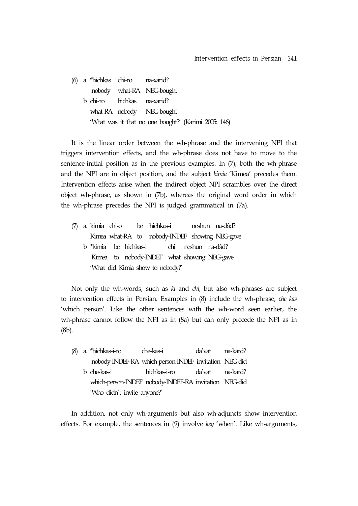(6) a. \*hichkas chi-ro na-xarid? nobody what-RA NEG-bought b. chi-ro hichkas na-xarid? what-RA nobody NEG-bought 'What was it that no one bought?' (Karimi 2005: 146)

It is the linear order between the wh-phrase and the intervening NPI that triggers intervention effects, and the wh-phrase does not have to move to the sentence-initial position as in the previous examples. In (7), both the wh-phrase and the NPI are in object position, and the subject *kimia* 'Kimea' precedes them. Intervention effects arise when the indirect object NPI scrambles over the direct object wh-phrase, as shown in (7b), whereas the original word order in which the wh-phrase precedes the NPI is judged grammatical in (7a).

(7) a. kimia chi-o be hichkas-i neshun na-dâd? Kimea what-RA to nobody-INDEF showing NEG-gave b. \*kimia be hichkas-i chi neshun na-dâd? Kimea to nobody-INDEF what showing NEG-gave 'What did Kimia show to nobody?'

Not only the wh-words, such as *ki* and *chi,* but also wh-phrases are subject to intervention effects in Persian. Examples in (8) include the wh-phrase, *che kas* 'which person'. Like the other sentences with the wh-word seen earlier, the wh-phrase cannot follow the NPI as in (8a) but can only precede the NPI as in (8b).

(8) a. \*hichkas-i-ro che-kas-i da'vat na-kard? nobody-INDEF-RA which-person-INDEF invitation NEG-did b. che-kas-i hichkas-i-ro da'vat na-kard? which-person-INDEF nobody-INDEF-RA invitation NEG-did 'Who didn't invite anyone?'

In addition, not only wh-arguments but also wh-adjuncts show intervention effects. For example, the sentences in (9) involve *key* 'when'. Like wh-arguments,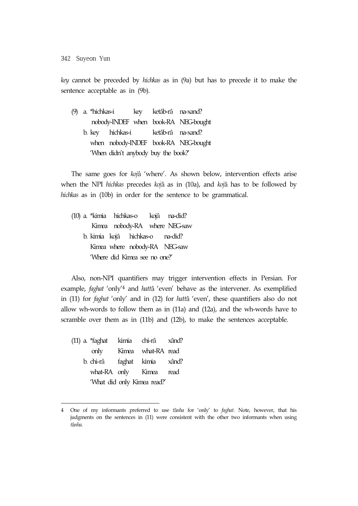*key* cannot be preceded by *hichkas* as in (9a) but has to precede it to make the sentence acceptable as in (9b).

(9) a. \*hichkas-i key ketâb-râ na-xand? nobody-INDEF when book-RA NEG-bought b. key hichkas-i ketâb-râ na-xand? when nobody-INDEF book-RA NEG-bought 'When didn't anybody buy the book?'

The same goes for *koj*â 'where'. As shown below, intervention effects arise when the NPI *hichkas* precedes *koj*â as in (10a), and *koj*â has to be followed by *hichkas* as in (10b) in order for the sentence to be grammatical.

(10) a. \*kimia hichkas-o kojâ na-did? Kimea nobody-RA where NEG-saw b. kimia kojâ hichkas-o na-did? Kimea where nobody-RA NEG-saw 'Where did Kimea see no one?'

Also, non-NPI quantifiers may trigger intervention effects in Persian. For example, *faghat* 'only'4 and *hatt*â 'even' behave as the intervener. As exemplified in (11) for *faghat* 'only' and in (12) for *hatt*â 'even', these quantifiers also do not allow wh-words to follow them as in (11a) and (12a), and the wh-words have to scramble over them as in (11b) and (12b), to make the sentences acceptable.

(11) a. \*faghat kimia chi-râ xând? only Kimea what-RA read b. chi-râ faghat kimia xând? what-RA only Kimea read 'What did only Kimea read?'

<sup>4</sup> One of my informants preferred to use *t*â*nha* for 'only' to *faghat*. Note, however, that his judgments on the sentences in (11) were consistent with the other two informants when using *t*â*nha*.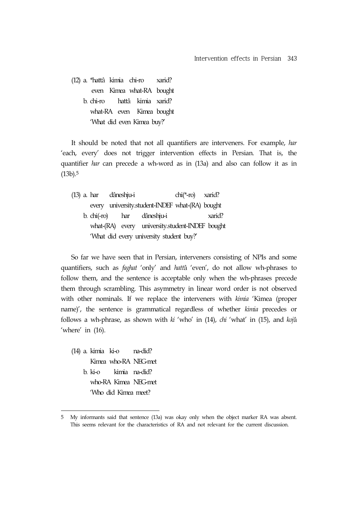(12) a. \*hattâ kimia chi-ro xarid? even Kimea what-RA bought b. chi-ro hattâ kimia xarid? what-RA even Kimea bought 'What did even Kimea buy?'

It should be noted that not all quantifiers are interveners. For example, *har*  'each, every' does not trigger intervention effects in Persian. That is, the quantifier *har* can precede a wh-word as in (13a) and also can follow it as in (13b).5

|                                          | (13) a. har dâneshju-i |  |  |                                                 | $chi(*-ro)$ xarid? |        |  |  |  |
|------------------------------------------|------------------------|--|--|-------------------------------------------------|--------------------|--------|--|--|--|
|                                          |                        |  |  | every university.student-INDEF what-(RA) bought |                    |        |  |  |  |
|                                          |                        |  |  | b. chi(-ro) har dâneshju-i                      |                    | xarid? |  |  |  |
|                                          |                        |  |  | what-(RA) every university.student-INDEF bought |                    |        |  |  |  |
| 'What did every university student buy?' |                        |  |  |                                                 |                    |        |  |  |  |

So far we have seen that in Persian, interveners consisting of NPIs and some quantifiers, such as *faghat* 'only' and *hatt*â 'even', do not allow wh-phrases to follow them, and the sentence is acceptable only when the wh-phrases precede them through scrambling. This asymmetry in linear word order is not observed with other nominals. If we replace the interveners with *kimia* 'Kimea (proper name)', the sentence is grammatical regardless of whether *kimia* precedes or follows a wh-phrase, as shown with *ki* 'who' in (14), *chi* 'what' in (15), and *koj*â 'where' in  $(16)$ .

(14) a. kimia ki-o na-did? Kimea who-RA NEG-met b. ki-o kimia na-did? who-RA Kimea NEG-met 'Who did Kimea meet?

<sup>5</sup> My informants said that sentence (13a) was okay only when the object marker RA was absent. This seems relevant for the characteristics of RA and not relevant for the current discussion.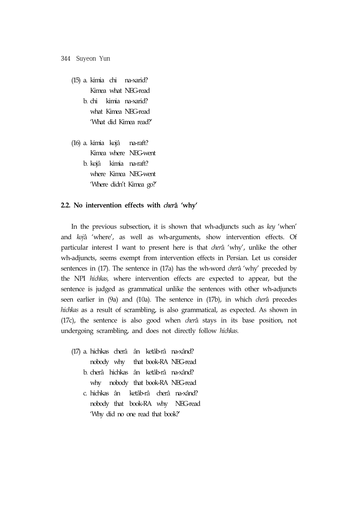- (15) a. kimia chi na-xarid? Kimea what NEG-read b. chi kimia na-xarid? what Kimea NEG-read 'What did Kimea read?'
- (16) a. kimia kojâ na-raft? Kimea where NEG-went b. kojâ kimia na-raft? where Kimea NEG-went 'Where didn't Kimea go?'

#### **2.2. No intervention effects with** *cher*â **'why'**

In the previous subsection, it is shown that wh-adjuncts such as *key* 'when' and *koj*â 'where', as well as wh-arguments, show intervention effects. Of particular interest I want to present here is that *cher*â 'why', unlike the other wh-adjuncts, seems exempt from intervention effects in Persian. Let us consider sentences in (17). The sentence in (17a) has the wh-word *cher*â 'why' preceded by the NPI *hichkas,* where intervention effects are expected to appear, but the sentence is judged as grammatical unlike the sentences with other wh-adjuncts seen earlier in (9a) and (10a). The sentence in (17b), in which *cher*â precedes *hichkas* as a result of scrambling, is also grammatical, as expected. As shown in (17c), the sentence is also good when *cher*â stays in its base position, not undergoing scrambling, and does not directly follow *hichkas.*

- (17) a. hichkas cherâ ân ketâb-râ na-xând? nobody why that book-RA NEG-read b. cherâ hichkas ân ketâb-râ na-xând? why nobody that book-RA NEG-read
	- c. hichkas ân ketâb-râ cherâ na-xând? nobody that book-RA why NEG-read 'Why did no one read that book?'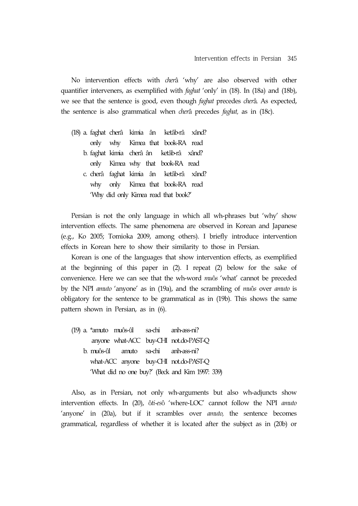No intervention effects with *cher*â 'why' are also observed with other quantifier interveners, as exemplified with *faghat* 'only' in (18). In (18a) and (18b), we see that the sentence is good, even though *faghat* precedes *cher*â*.* As expected, the sentence is also grammatical when *cher*â precedes *faghat,* as in (18c).

(18) a. faghat cherâ kimia ân ketâb-râ xând? only why Kimea that book-RA read b. faghat kimia cherâ ân ketâb-râ xând? only Kimea why that book-RA read c. cherâ faghat kimia ân ketâb-râ xând? why only Kimea that book-RA read 'Why did only Kimea read that book?'

Persian is not the only language in which all wh-phrases but 'why' show intervention effects. The same phenomena are observed in Korean and Japanese (e.g., Ko 2005; Tomioka 2009, among others). I briefly introduce intervention effects in Korean here to show their similarity to those in Persian.

Korean is one of the languages that show intervention effects, as exemplified at the beginning of this paper in (2). I repeat (2) below for the sake of convenience. Here we can see that the wh-word *mu*ô*s* 'what' cannot be preceded by the NPI *amuto* 'anyone' as in (19a), and the scrambling of *mu*ô*s* over *amuto* is obligatory for the sentence to be grammatical as in (19b). This shows the same pattern shown in Persian, as in (6).

(19) a. \*amuto muôs-ûl sa-chi anh-ass-ni? anyone what-ACC buy-CHI not.do-PAST-Q b. muôs-ûl amuto sa-chi anh-ass-ni? what-ACC anyone buy-CHI not.do-PAST-Q 'What did no one buy?' (Beck and Kim 1997: 339)

Also, as in Persian, not only wh-arguments but also wh-adjuncts show intervention effects. In (20), ô*ti-es*ô 'where-LOC' cannot follow the NPI *amuto*  'anyone' in (20a), but if it scrambles over *amuto,* the sentence becomes grammatical, regardless of whether it is located after the subject as in (20b) or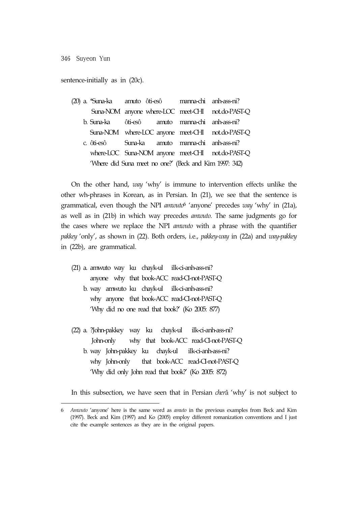sentence-initially as in (20c).

|  | (20) a. *Suna-ka    amuto ôti-esô    manna-chi  anh-ass-ni? |  |  |  |                                                  |  |  |  |
|--|-------------------------------------------------------------|--|--|--|--------------------------------------------------|--|--|--|
|  |                                                             |  |  |  | Suna-NOM anyone where-LOC meet-CHI not.do-PAST-Q |  |  |  |
|  | b. Suna-ka ôti-esô amuto manna-chi anh-ass-ni?              |  |  |  |                                                  |  |  |  |
|  |                                                             |  |  |  | Suna-NOM where-LOC anyone meet-CHI not.do-PAST-Q |  |  |  |
|  | c. ôti-esô Suna-ka amuto manna-chi anh-ass-ni?              |  |  |  |                                                  |  |  |  |
|  |                                                             |  |  |  | where-LOC Suna-NOM anyone meet-CHI not.do-PAST-Q |  |  |  |
|  | 'Where did Suna meet no one?' (Beck and Kim 1997: 342)      |  |  |  |                                                  |  |  |  |

On the other hand, *way* 'why' is immune to intervention effects unlike the other wh-phrases in Korean, as in Persian. In (21), we see that the sentence is grammatical, even though the NPI *amwuto*6 'anyone' precedes *way* 'why' in (21a), as well as in (21b) in which way precedes *amwuto*. The same judgments go for the cases where we replace the NPI *amwuto* with a phrase with the quantifier *pakkey* 'only', as shown in (22). Both orders, i.e., *pakkey-way* in (22a) and *way-pakkey* in (22b), are grammatical.

- (21) a. amwuto way ku chayk-ul ilk-ci-anh-ass-ni? anyone why that book-ACC read-CI-not-PAST-Q b. way amwuto ku chayk-ul ilk-ci-anh-ass-ni? why anyone that book-ACC read-CI-not-PAST-Q 'Why did no one read that book?' (Ko 2005: 877)
- (22) a. ?John-pakkey way ku chayk-ul ilk-ci-anh-ass-ni? John-only why that book-ACC read-CI-not-PAST-Q b. way John-pakkey ku chayk-ul ilk-ci-anh-ass-ni? why John-only that book-ACC read-CI-not-PAST-Q 'Why did only John read that book?' (Ko 2005: 872)

In this subsection, we have seen that in Persian *cher*â 'why' is not subject to

<sup>6</sup> *Amwuto* 'anyone' here is the same word as *amuto* in the previous examples from Beck and Kim (1997). Beck and Kim (1997) and Ko (2005) employ different romanization conventions and I just cite the example sentences as they are in the original papers.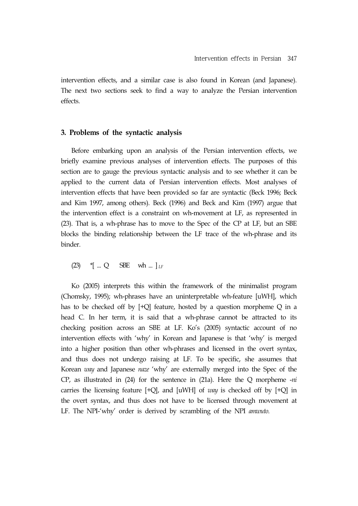intervention effects, and a similar case is also found in Korean (and Japanese). The next two sections seek to find a way to analyze the Persian intervention effects.

#### **3. Problems of the syntactic analysis**

Before embarking upon an analysis of the Persian intervention effects, we briefly examine previous analyses of intervention effects. The purposes of this section are to gauge the previous syntactic analysis and to see whether it can be applied to the current data of Persian intervention effects. Most analyses of intervention effects that have been provided so far are syntactic (Beck 1996; Beck and Kim 1997, among others). Beck (1996) and Beck and Kim (1997) argue that the intervention effect is a constraint on wh-movement at LF, as represented in (23). That is, a wh-phrase has to move to the Spec of the CP at LF, but an SBE blocks the binding relationship between the LF trace of the wh-phrase and its binder.

(23) \*[ ... Q SBE wh ... ] *LF*

Ko (2005) interprets this within the framework of the minimalist program (Chomsky, 1995); wh-phrases have an uninterpretable wh-feature [uWH], which has to be checked off by [+Q] feature, hosted by a question morpheme Q in a head C. In her term, it is said that a wh-phrase cannot be attracted to its checking position across an SBE at LF. Ko's (2005) syntactic account of no intervention effects with 'why' in Korean and Japanese is that 'why' is merged into a higher position than other wh-phrases and licensed in the overt syntax, and thus does not undergo raising at LF. To be specific, she assumes that Korean *way* and Japanese *naze* 'why' are externally merged into the Spec of the CP, as illustrated in (24) for the sentence in (21a). Here the Q morpheme -*ni* carries the licensing feature [+Q], and [uWH] of *way* is checked off by [+Q] in the overt syntax, and thus does not have to be licensed through movement at LF. The NPI-'why' order is derived by scrambling of the NPI *amwuto*.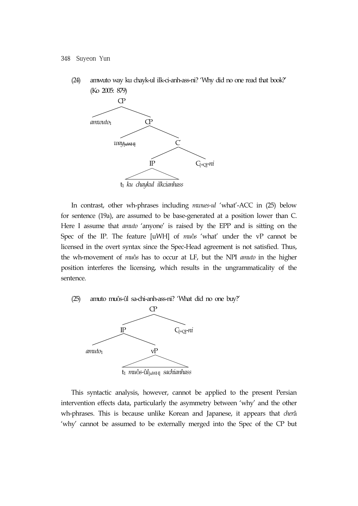(24) amwuto way ku chayk-ul ilk-ci-anh-ass-ni? 'Why did no one read that book?' (Ko 2005: 879)



In contrast, other wh-phrases including *mwues-ul* 'what'-ACC in (25) below for sentence (19a), are assumed to be base-generated at a position lower than C. Here I assume that *amuto* 'anyone' is raised by the EPP and is sitting on the Spec of the IP. The feature [uWH] of *mu*ô*s* 'what' under the vP cannot be licensed in the overt syntax since the Spec-Head agreement is not satisfied. Thus, the wh-movement of *mu*ô*s* has to occur at LF, but the NPI *amuto* in the higher position interferes the licensing, which results in the ungrammaticality of the sentence.

(25) amuto muôs-ûl sa-chi-anh-ass-ni? 'What did no one buy?'



This syntactic analysis, however, cannot be applied to the present Persian intervention effects data, particularly the asymmetry between 'why' and the other wh-phrases. This is because unlike Korean and Japanese, it appears that *cher*â 'why' cannot be assumed to be externally merged into the Spec of the CP but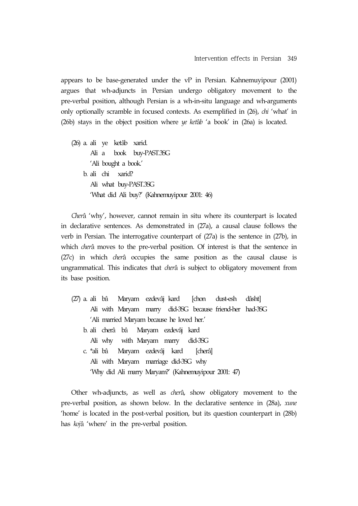appears to be base-generated under the vP in Persian. Kahnemuyipour (2001) argues that wh-adjuncts in Persian undergo obligatory movement to the pre-verbal position, although Persian is a wh-in-situ language and wh-arguments only optionally scramble in focused contexts. As exemplified in (26), *chi* 'what' in (26b) stays in the object position where *ye ket*â*b* 'a book' in (26a) is located.

(26) a. ali ye ketâb xarid. Ali a book buy-PAST.3SG 'Ali bought a book.' b. ali chi xarid? Ali what buy-PAST.3SG 'What did Ali buy?' (Kahnemuyipour 2001: 46)

*Cher*â 'why', however, cannot remain in situ where its counterpart is located in declarative sentences. As demonstrated in (27a), a causal clause follows the verb in Persian. The interrogative counterpart of (27a) is the sentence in (27b), in which *cher*â moves to the pre-verbal position. Of interest is that the sentence in (27c) in which *cher*â occupies the same position as the causal clause is ungrammatical. This indicates that *cher*â is subject to obligatory movement from its base position.

(27) a. ali bâ Maryam ezdevâj kard [chon dust-esh dâsht] Ali with Maryam marry did-3SG because friend-her had-3SG 'Ali married Maryam because he loved her.' b. ali cherâ bâ Maryam ezdevâj kard Ali why with Maryam marry did-3SG c. \*ali bâ Maryam ezdevâj kard [cherâ] Ali with Maryam marriage did-3SG why 'Why did Ali marry Maryam?' (Kahnemuyipour 2001: 47)

Other wh-adjuncts, as well as *cher*â, show obligatory movement to the pre-verbal position, as shown below. In the declarative sentence in (28a), *xune*  'home' is located in the post-verbal position, but its question counterpart in (28b) has *koj*â 'where' in the pre-verbal position.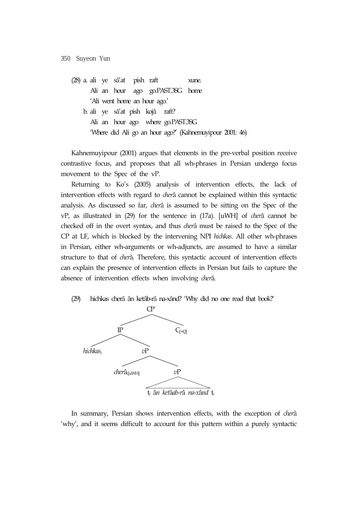(28) a. ali ye sâ'at pish raft xune. Ali an hour ago go.PAST.3SG home 'Ali went home an hour ago.' b. ali ye sâ'at pish kojâ raft? Ali an hour ago where go.PAST.3SG 'Where did Ali go an hour ago?' (Kahnemuyipour 2001: 46)

Kahnemuyipour (2001) argues that elements in the pre-verbal position receive contrastive focus, and proposes that all wh-phrases in Persian undergo focus movement to the Spec of the vP.

Returning to Ko's (2005) analysis of intervention effects, the lack of intervention effects with regard to *cher*â cannot be explained within this syntactic analysis. As discussed so far, *cher*â is assumed to be sitting on the Spec of the vP, as illustrated in (29) for the sentence in (17a). [uWH] of *cher*â cannot be checked off in the overt syntax, and thus *cher*â must be raised to the Spec of the CP at LF, which is blocked by the intervening NPI *hichkas*. All other wh-phrases in Persian, either wh-arguments or wh-adjuncts, are assumed to have a similar structure to that of *cher*â. Therefore, this syntactic account of intervention effects can explain the presence of intervention effects in Persian but fails to capture the absence of intervention effects when involving *cher*â.

(29) hichkas cherâ ân ketâb-râ na-xând? 'Why did no one read that book?'



In summary, Persian shows intervention effects, with the exception of *cher*â 'why', and it seems difficult to account for this pattern within a purely syntactic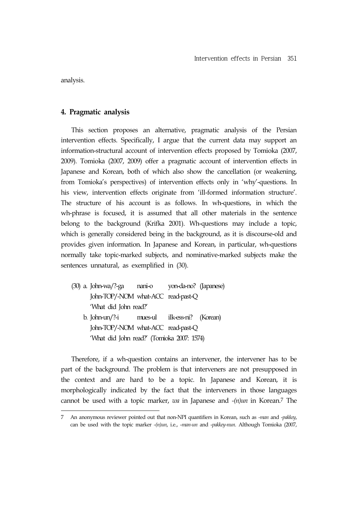analysis.

#### **4. Pragmatic analysis**

This section proposes an alternative, pragmatic analysis of the Persian intervention effects. Specifically, I argue that the current data may support an information-structural account of intervention effects proposed by Tomioka (2007, 2009). Tomioka (2007, 2009) offer a pragmatic account of intervention effects in Japanese and Korean, both of which also show the cancellation (or weakening, from Tomioka's perspectives) of intervention effects only in 'why'-questions. In his view, intervention effects originate from 'ill-formed information structure'. The structure of his account is as follows. In wh-questions, in which the wh-phrase is focused, it is assumed that all other materials in the sentence belong to the background (Krifka 2001). Wh-questions may include a topic, which is generally considered being in the background, as it is discourse-old and provides given information. In Japanese and Korean, in particular, wh-questions normally take topic-marked subjects, and nominative-marked subjects make the sentences unnatural, as exemplified in (30).

(30) a. John-wa/?-ga nani-o yon-da-no? (Japanese) John-TOP/-NOM what-ACC read-past-Q 'What did John read?' b. John-un/?-i mues-ul ilk-ess-ni? (Korean) John-TOP/-NOM what-ACC read-past-Q 'What did John read?' (Tomioka 2007: 1574)

Therefore, if a wh-question contains an intervener, the intervener has to be part of the background. The problem is that interveners are not presupposed in the context and are hard to be a topic. In Japanese and Korean, it is morphologically indicated by the fact that the interveners in those languages cannot be used with a topic marker, *wa* in Japanese and *-(n)un* in Korean.7 The

<sup>7</sup> An anonymous reviewer pointed out that non-NPI quantifiers in Korean, such as *-man* and *-pakkey*, can be used with the topic marker *-(n)un*, i.e., -*man-un* and -*pakkey-nun*. Although Tomioka (2007,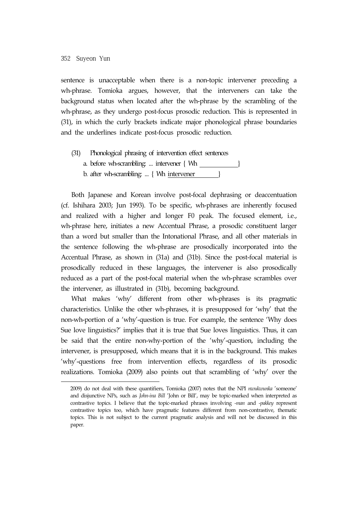sentence is unacceptable when there is a non-topic intervener preceding a wh-phrase. Tomioka argues, however, that the interveners can take the background status when located after the wh-phrase by the scrambling of the wh-phrase, as they undergo post-focus prosodic reduction. This is represented in (31), in which the curly brackets indicate major phonological phrase boundaries and the underlines indicate post-focus prosodic reduction.

(31) Phonological phrasing of intervention effect sentences a. before wh-scrambling: ... intervener  $\{ Wh \$ b. after wh-scrambling: ...  $\{ Wh\$  intervener  $\}$ 

Both Japanese and Korean involve post-focal dephrasing or deaccentuation (cf. Ishihara 2003; Jun 1993). To be specific, wh-phrases are inherently focused and realized with a higher and longer F0 peak. The focused element, i.e., wh-phrase here, initiates a new Accentual Phrase, a prosodic constituent larger than a word but smaller than the Intonational Phrase, and all other materials in the sentence following the wh-phrase are prosodically incorporated into the Accentual Phrase, as shown in (31a) and (31b). Since the post-focal material is prosodically reduced in these languages, the intervener is also prosodically reduced as a part of the post-focal material when the wh-phrase scrambles over the intervener, as illustrated in (31b), becoming background.

What makes 'why' different from other wh-phrases is its pragmatic characteristics. Unlike the other wh-phrases, it is presupposed for 'why' that the non-wh-portion of a 'why'-question is true. For example, the sentence 'Why does Sue love linguistics?' implies that it is true that Sue loves linguistics. Thus, it can be said that the entire non-why-portion of the 'why'-question, including the intervener, is presupposed, which means that it is in the background. This makes 'why'-questions free from intervention effects, regardless of its prosodic realizations. Tomioka (2009) also points out that scrambling of 'why' over the

<sup>2009)</sup> do not deal with these quantifiers, Tomioka (2007) notes that the NPI *nwukwunka* 'someone' and disjunctive NPs, such as *John-ina Bill* 'John or Bill', may be topic-marked when interpreted as contrastive topics. I believe that the topic-marked phrases involving *-man* and *-pakkey* represent contrastive topics too, which have pragmatic features different from non-contrastive, thematic topics. This is not subject to the current pragmatic analysis and will not be discussed in this paper.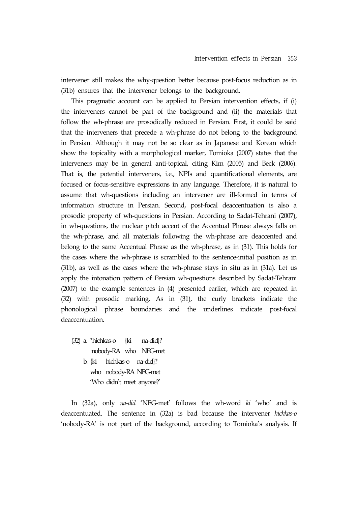intervener still makes the why-question better because post-focus reduction as in (31b) ensures that the intervener belongs to the background.

This pragmatic account can be applied to Persian intervention effects, if (i) the interveners cannot be part of the background and (ii) the materials that follow the wh-phrase are prosodically reduced in Persian. First, it could be said that the interveners that precede a wh-phrase do not belong to the background in Persian. Although it may not be so clear as in Japanese and Korean which show the topicality with a morphological marker, Tomioka (2007) states that the interveners may be in general anti-topical, citing Kim (2005) and Beck (2006). That is, the potential interveners, i.e., NPIs and quantificational elements, are focused or focus-sensitive expressions in any language. Therefore, it is natural to assume that wh-questions including an intervener are ill-formed in terms of information structure in Persian. Second, post-focal deaccentuation is also a prosodic property of wh-questions in Persian. According to Sadat-Tehrani (2007), in wh-questions, the nuclear pitch accent of the Accentual Phrase always falls on the wh-phrase, and all materials following the wh-phrase are deaccented and belong to the same Accentual Phrase as the wh-phrase, as in (31). This holds for the cases where the wh-phrase is scrambled to the sentence-initial position as in (31b), as well as the cases where the wh-phrase stays in situ as in (31a). Let us apply the intonation pattern of Persian wh-questions described by Sadat-Tehrani (2007) to the example sentences in (4) presented earlier, which are repeated in (32) with prosodic marking. As in (31), the curly brackets indicate the phonological phrase boundaries and the underlines indicate post-focal deaccentuation.

(32) a. \*hichkas-o {ki na-did}? nobody-RA who NEG-met b. {ki hichkas-o na-did}? who nobody-RA NEG-met 'Who didn't meet anyone?'

In (32a), only *na-did* 'NEG-met' follows the wh-word *ki* 'who' and is deaccentuated. The sentence in (32a) is bad because the intervener *hichkas-o*  'nobody-RA' is not part of the background, according to Tomioka's analysis. If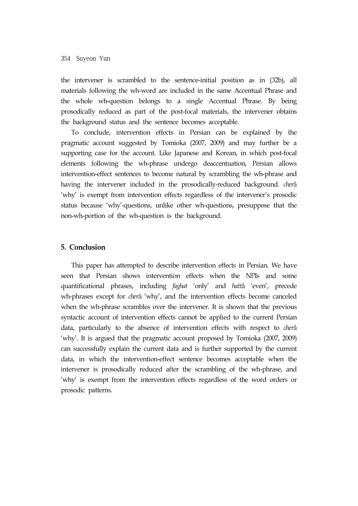the intervener is scrambled to the sentence-initial position as in (32b), all materials following the wh-word are included in the same Accentual Phrase and the whole wh-question belongs to a single Accentual Phrase. By being prosodically reduced as part of the post-focal materials, the intervener obtains the background status and the sentence becomes acceptable.

To conclude, intervention effects in Persian can be explained by the pragmatic account suggested by Tomioka (2007, 2009) and may further be a supporting case for the account. Like Japanese and Korean, in which post-focal elements following the wh-phrase undergo deaccentuation, Persian allows intervention-effect sentences to become natural by scrambling the wh-phrase and having the intervener included in the prosodically-reduced background. *cher*â 'why' is exempt from intervention effects regardless of the intervener's prosodic status because 'why'-questions, unlike other wh-questions, presuppose that the non-wh-portion of the wh-question is the background.

#### **5. Conclusion**

This paper has attempted to describe intervention effects in Persian. We have seen that Persian shows intervention effects when the NPIs and some quantificational phrases, including *faghat* 'only' and *hatt*â 'even', precede wh-phrases except for *cher*â 'why', and the intervention effects become canceled when the wh-phrase scrambles over the intervener. It is shown that the previous syntactic account of intervention effects cannot be applied to the current Persian data, particularly to the absence of intervention effects with respect to *cher*â 'why'. It is argued that the pragmatic account proposed by Tomioka (2007, 2009) can successfully explain the current data and is further supported by the current data, in which the intervention-effect sentence becomes acceptable when the intervener is prosodically reduced after the scrambling of the wh-phrase, and 'why' is exempt from the intervention effects regardless of the word orders or prosodic patterns.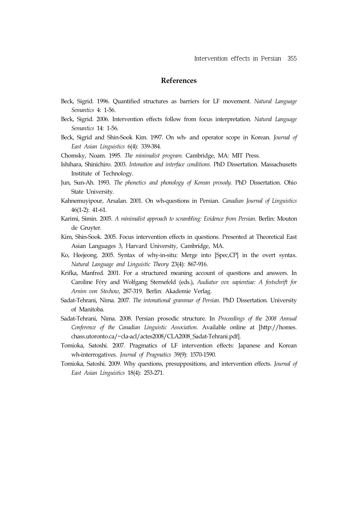## **References**

- Beck, Sigrid. 1996. Quantified structures as barriers for LF movement. *Natural Language Semantics* 4: 1-56.
- Beck, Sigrid. 2006. Intervention effects follow from focus interpretation. *Natural Language Semantics* 14: 1-56.
- Beck, Sigrid and Shin-Sook Kim. 1997. On wh- and operator scope in Korean. *Journal of East Asian Linguistics* 6(4): 339-384.
- Chomsky, Noam. 1995. *The minimalist program*. Cambridge, MA: MIT Press.
- Ishihara, Shinichiro. 2003. *Intonation and interface conditions*. PhD Dissertation. Massachusetts Institute of Technology.
- Jun, Sun-Ah. 1993. *The phonetics and phonology of Korean prosody*. PhD Dissertation. Ohio State University.
- Kahnemuyipour, Arsalan. 2001. On wh-questions in Persian. *Canadian Journal of Linguistics* 46(1-2): 41-61.
- Karimi, Simin. 2005. *A minimalist approach to scrambling: Evidence from Persian*. Berlin: Mouton de Gruyter.
- Kim, Shin-Sook. 2005. Focus intervention effects in questions. Presented at Theoretical East Asian Languages 3, Harvard University, Cambridge, MA.
- Ko, Heejeong. 2005. Syntax of why-in-situ: Merge into [Spec,CP] in the overt syntax. *Natural Language and Linguistic Theory* 23(4): 867-916.
- Krifka, Manfred. 2001. For a structured meaning account of questions and answers. In Caroline Féry and Wolfgang Sternefeld (eds.), *Audiatur vox sapientiae: A festschrift for Arnim von Stechow*, 287-319. Berlin: Akademie Verlag.
- Sadat-Tehrani, Nima. 2007. *The intonational grammar of Persian*. PhD Dissertation. University of Manitoba.
- Sadat-Tehrani, Nima. 2008. Persian prosodic structure. In *Proceedings of the 2008 Annual Conference of the Canadian Linguistic Association*. Available online at [http://homes. chass.utoronto.ca/~cla-acl/actes2008/CLA2008\_Sadat-Tehrani.pdf].
- Tomioka, Satoshi. 2007. Pragmatics of LF intervention effects: Japanese and Korean wh-interrogatives. *Journal of Pragmatics* 39(9): 1570-1590.
- Tomioka, Satoshi. 2009. Why questions, presuppositions, and intervention effects. *Journal of East Asian Linguistics* 18(4): 253-271.